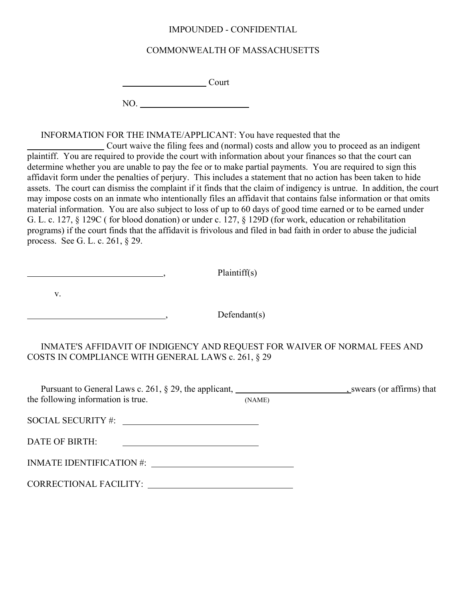## IMPOUNDED - CONFIDENTIAL

## COMMONWEALTH OF MASSACHUSETTS

**Court** 

NO.

INFORMATION FOR THE INMATE/APPLICANT: You have requested that the

 Court waive the filing fees and (normal) costs and allow you to proceed as an indigent plaintiff. You are required to provide the court with information about your finances so that the court can determine whether you are unable to pay the fee or to make partial payments. You are required to sign this affidavit form under the penalties of perjury. This includes a statement that no action has been taken to hide assets. The court can dismiss the complaint if it finds that the claim of indigency is untrue. In addition, the court may impose costs on an inmate who intentionally files an affidavit that contains false information or that omits material information. You are also subject to loss of up to 60 days of good time earned or to be earned under G. L. c. 127, § 129C ( for blood donation) or under c. 127, § 129D (for work, education or rehabilitation programs) if the court finds that the affidavit is frivolous and filed in bad faith in order to abuse the judicial process. See G. L. c. 261, § 29.

example and plaintiff(s) and plaintiff(s)

v.

 $Defendant(s)$ 

INMATE'S AFFIDAVIT OF INDIGENCY AND REQUEST FOR WAIVER OF NORMAL FEES AND COSTS IN COMPLIANCE WITH GENERAL LAWS c. 261, § 29

Pursuant to General Laws c. 261,  $\S$  29, the applicant,  $\frac{1}{\text{S}}$  swears (or affirms) that the following information is true. (NAME) SOCIAL SECURITY #: DATE OF BIRTH:

INMATE IDENTIFICATION #:

| <b>CORRECTIONAL FACILITY:</b> |  |
|-------------------------------|--|
|                               |  |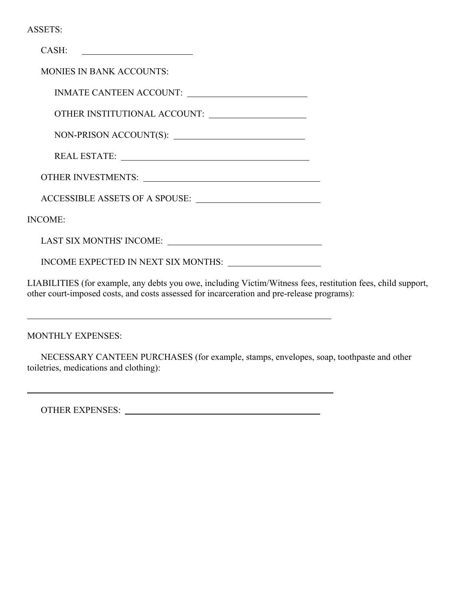|  | ASSETS: |  |
|--|---------|--|
|  |         |  |

| CASH:                                                                                                                                                                                                                          |  |
|--------------------------------------------------------------------------------------------------------------------------------------------------------------------------------------------------------------------------------|--|
| <b>MONIES IN BANK ACCOUNTS:</b>                                                                                                                                                                                                |  |
|                                                                                                                                                                                                                                |  |
| OTHER INSTITUTIONAL ACCOUNT:                                                                                                                                                                                                   |  |
|                                                                                                                                                                                                                                |  |
|                                                                                                                                                                                                                                |  |
|                                                                                                                                                                                                                                |  |
| ACCESSIBLE ASSETS OF A SPOUSE:                                                                                                                                                                                                 |  |
| <b>INCOME:</b>                                                                                                                                                                                                                 |  |
|                                                                                                                                                                                                                                |  |
| INCOME EXPECTED IN NEXT SIX MONTHS: Next and the state of the state of the state of the state of the state of the state of the state of the state of the state of the state of the state of the state of the state of the stat |  |
| I IA DII ITIES (for example, any debts you awe, including Victim Witness fees, restity                                                                                                                                         |  |

LIABILITIES (for example, any debts you owe, including Victim/Witness fees, restitution fees, child support, other court-imposed costs, and costs assessed for incarceration and pre-release programs):

MONTHLY EXPENSES:

 $\overline{a}$ 

 $\overline{a}$ 

NECESSARY CANTEEN PURCHASES (for example, stamps, envelopes, soap, toothpaste and other toiletries, medications and clothing):

OTHER EXPENSES: